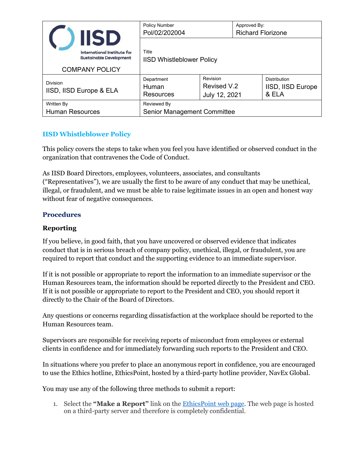|                                                                                                       |  | <b>Policy Number</b><br>Pol/02/202004             |                                                                   | Approved By:<br><b>Richard Florizone</b> |                   |
|-------------------------------------------------------------------------------------------------------|--|---------------------------------------------------|-------------------------------------------------------------------|------------------------------------------|-------------------|
| <b>IISD</b><br>International Institute for<br><b>Sustainable Development</b><br><b>COMPANY POLICY</b> |  | Title<br><b>IISD Whistleblower Policy</b>         |                                                                   |                                          |                   |
| <b>Division</b><br>IISD, IISD Europe & ELA                                                            |  | Department<br>Human<br><b>Resources</b>           | Revision<br>Distribution<br>Revised V.2<br>& ELA<br>July 12, 2021 |                                          | IISD, IISD Europe |
| Written By<br><b>Human Resources</b>                                                                  |  | Reviewed By<br><b>Senior Management Committee</b> |                                                                   |                                          |                   |

## **IISD Whistleblower Policy**

This policy covers the steps to take when you feel you have identified or observed conduct in the organization that contravenes the Code of Conduct.

As IISD Board Directors, employees, volunteers, associates, and consultants ("Representatives"), we are usually the first to be aware of any conduct that may be unethical, illegal, or fraudulent, and we must be able to raise legitimate issues in an open and honest way without fear of negative consequences.

## **Procedures**

## **Reporting**

If you believe, in good faith, that you have uncovered or observed evidence that indicates conduct that is in serious breach of company policy, unethical, illegal, or fraudulent, you are required to report that conduct and the supporting evidence to an immediate supervisor.

If it is not possible or appropriate to report the information to an immediate supervisor or the Human Resources team, the information should be reported directly to the President and CEO. If it is not possible or appropriate to report to the President and CEO, you should report it directly to the Chair of the Board of Directors.

Any questions or concerns regarding dissatisfaction at the workplace should be reported to the Human Resources team.

Supervisors are responsible for receiving reports of misconduct from employees or external clients in confidence and for immediately forwarding such reports to the President and CEO.

In situations where you prefer to place an anonymous report in confidence, you are encouraged to use the Ethics hotline, EthicsPoint, hosted by a third-party hotline provider, NavEx Global.

You may use any of the following three methods to submit a report:

1. Select the **"Make a Report"** link on the [EthicsPoint web page.](http://iisd.ethicspoint.com/) The web page is hosted on a third-party server and therefore is completely confidential.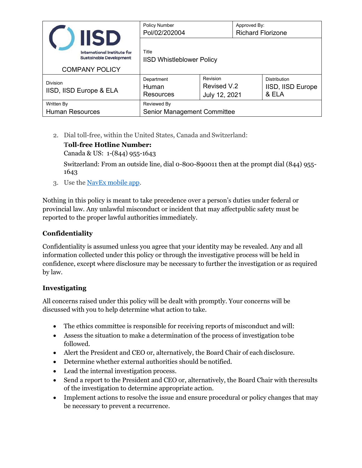|                                            | <b>IISD</b>                                                                            | <b>Policy Number</b><br>Pol/02/202004             |                                                                   | Approved By:<br><b>Richard Florizone</b> |                   |
|--------------------------------------------|----------------------------------------------------------------------------------------|---------------------------------------------------|-------------------------------------------------------------------|------------------------------------------|-------------------|
|                                            | International Institute for<br><b>Sustainable Development</b><br><b>COMPANY POLICY</b> | Title<br><b>IISD Whistleblower Policy</b>         |                                                                   |                                          |                   |
| <b>Division</b><br>IISD, IISD Europe & ELA |                                                                                        | Department<br>Human<br><b>Resources</b>           | Revision<br>Distribution<br>Revised V.2<br>& ELA<br>July 12, 2021 |                                          | IISD, IISD Europe |
| Written By<br><b>Human Resources</b>       |                                                                                        | Reviewed By<br><b>Senior Management Committee</b> |                                                                   |                                          |                   |

2. Dial toll-free, within the United States, Canada and Switzerland:

# **Toll-free Hotline Number:**

Canada & US: 1-(844) 955-1643

Switzerland: From an outside line, dial 0-800-890011 then at the prompt dial (844) 955- 1643

3. Use the [NavEx mobile](http://iisdmobile.ethicspoint.com/) app.

Nothing in this policy is meant to take precedence over a person's duties under federal or provincial law. Any unlawful misconduct or incident that may affectpublic safety must be reported to the proper lawful authorities immediately.

## **Confidentiality**

Confidentiality is assumed unless you agree that your identity may be revealed. Any and all information collected under this policy or through the investigative process will be held in confidence, except where disclosure may be necessary to further the investigation or as required by law.

## **Investigating**

All concerns raised under this policy will be dealt with promptly. Your concerns will be discussed with you to help determine what action to take.

- The ethics committee is responsible for receiving reports of misconduct and will:
- Assess the situation to make a determination of the process of investigation tobe followed.
- Alert the President and CEO or, alternatively, the Board Chair of each disclosure.
- Determine whether external authorities should be notified.
- Lead the internal investigation process.
- Send a report to the President and CEO or, alternatively, the Board Chair with theresults of the investigation to determine appropriate action.
- Implement actions to resolve the issue and ensure procedural or policy changes that may be necessary to prevent a recurrence.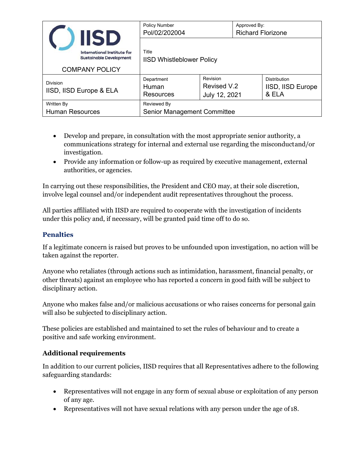|                                            | <b>IISD</b>                                                   | <b>Policy Number</b><br>Pol/02/202004     |                                          | Approved By:<br><b>Richard Florizone</b> |                                            |
|--------------------------------------------|---------------------------------------------------------------|-------------------------------------------|------------------------------------------|------------------------------------------|--------------------------------------------|
|                                            | International Institute for<br><b>Sustainable Development</b> | Title<br><b>IISD Whistleblower Policy</b> |                                          |                                          |                                            |
| <b>COMPANY POLICY</b>                      |                                                               |                                           |                                          |                                          |                                            |
| <b>Division</b><br>IISD, IISD Europe & ELA |                                                               | Department<br>Human<br>Resources          | Revision<br>Revised V.2<br>July 12, 2021 |                                          | Distribution<br>IISD, IISD Europe<br>& ELA |
| Written By                                 |                                                               | Reviewed By                               |                                          |                                          |                                            |
| <b>Human Resources</b>                     |                                                               | <b>Senior Management Committee</b>        |                                          |                                          |                                            |

- Develop and prepare, in consultation with the most appropriate senior authority, a communications strategy for internal and external use regarding the misconductand/or investigation.
- Provide any information or follow-up as required by executive management, external authorities, or agencies.

In carrying out these responsibilities, the President and CEO may, at their sole discretion, involve legal counsel and/or independent audit representatives throughout the process.

All parties affiliated with IISD are required to cooperate with the investigation of incidents under this policy and, if necessary, will be granted paid time off to do so.

### **Penalties**

If a legitimate concern is raised but proves to be unfounded upon investigation, no action will be taken against the reporter.

Anyone who retaliates (through actions such as intimidation, harassment, financial penalty, or other threats) against an employee who has reported a concern in good faith will be subject to disciplinary action.

Anyone who makes false and/or malicious accusations or who raises concerns for personal gain will also be subjected to disciplinary action.

These policies are established and maintained to set the rules of behaviour and to create a positive and safe working environment.

#### **Additional requirements**

In addition to our current policies, IISD requires that all Representatives adhere to the following safeguarding standards:

- Representatives will not engage in any form of sexual abuse or exploitation of any person of any age.
- Representatives will not have sexual relations with any person under the age of 18.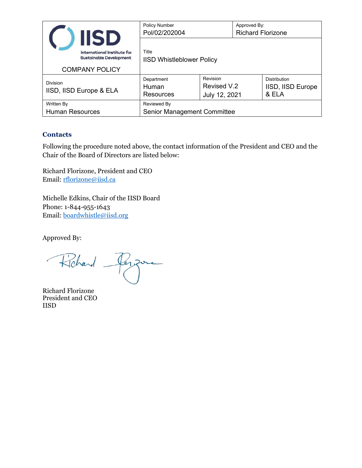|                                                               | <b>IISD</b> | <b>Policy Number</b><br>Pol/02/202004     |                                          | Approved By:<br><b>Richard Florizone</b> |                                            |
|---------------------------------------------------------------|-------------|-------------------------------------------|------------------------------------------|------------------------------------------|--------------------------------------------|
| International Institute for<br><b>Sustainable Development</b> |             | Title<br><b>IISD Whistleblower Policy</b> |                                          |                                          |                                            |
| <b>COMPANY POLICY</b>                                         |             |                                           |                                          |                                          |                                            |
| <b>Division</b><br>IISD, IISD Europe & ELA                    |             | Department<br>Human<br><b>Resources</b>   | Revision<br>Revised V.2<br>July 12, 2021 |                                          | Distribution<br>IISD, IISD Europe<br>& ELA |
| Written By                                                    |             | Reviewed By                               |                                          |                                          |                                            |
| <b>Human Resources</b>                                        |             | <b>Senior Management Committee</b>        |                                          |                                          |                                            |

#### **Contacts**

Following the procedure noted above, the contact information of the President and CEO and the Chair of the Board of Directors are listed below:

Richard Florizone, President and CEO Email: [rflorizone@iisd.ca](mailto:rflorizone@iisd.ca)

Michelle Edkins, Chair of the IISD Board Phone: 1-844-955-1643 Email: [boardwhistle@iisd.org](mailto:boardwhistle@iisd.org)

Approved By:

Richard ezone

Richard Florizone President and CEO IISD